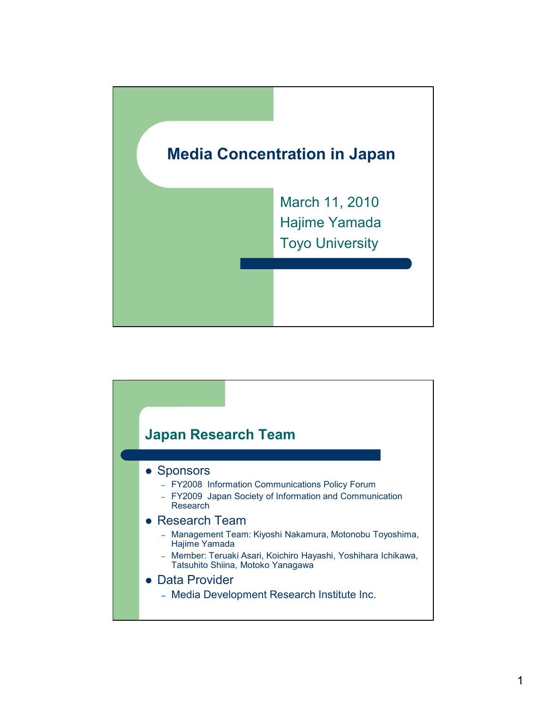

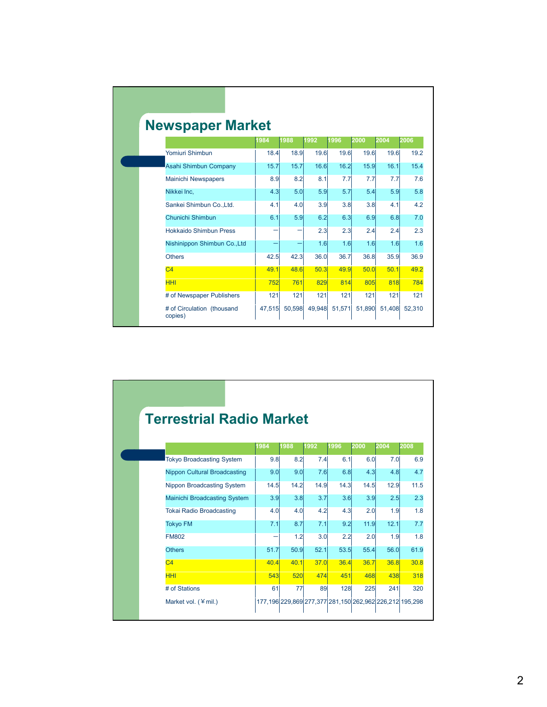| <b>Newspaper Market</b>               |        |                          |      |               |        |        |        |
|---------------------------------------|--------|--------------------------|------|---------------|--------|--------|--------|
|                                       | 1984   | 1988                     | 1992 | 1996          | 2000   | 2004   | 2006   |
| Yomiuri Shimbun                       | 18.4   | 18.9                     | 19.6 | 19.6          | 19.6   | 19.6   | 19.2   |
| Asahi Shimbun Company                 | 15.7   | 15.7                     | 16.6 | 16.2          | 15.9   | 16.1   | 15.4   |
| Mainichi Newspapers                   | 8.9    | 8.2                      | 8.1  | 7.7           | 7.7    | 7.7    | 7.6    |
| Nikkei Inc.                           | 4.3    | 5.0                      | 5.9  | 5.7           | 5.4    | 5.9    | 5.8    |
| Sankei Shimbun Co., Ltd.              | 4.1    | 4.0                      | 3.9  | 3.8           | 3.8    | 4.1    | 4.2    |
| Chunichi Shimbun                      | 6.1    | 5.9                      | 6.2  | 6.3           | 6.9    | 6.8    | 7.0    |
| <b>Hokkaido Shimbun Press</b>         |        | $\overline{\phantom{0}}$ | 2.3  | 2.3           | 2.4    | 2.4    | 2.3    |
| Nishinippon Shimbun Co., Ltd          |        |                          | 1.6  | 1.6           | 1.6    | 1.6    | 1.6    |
| <b>Others</b>                         | 42.5   | 42.3                     | 36.0 | 36.7          | 36.8   | 35.9   | 36.9   |
| C <sub>4</sub>                        | 49.1   | <b>48.6</b>              | 50.3 | 49.9          | 50.0   | 50.1   | 49.2   |
| <b>HHI</b>                            | 752    | 761                      | 829  | 814           | 805    | 818    | 784    |
| # of Newspaper Publishers             | 121    | 121                      | 121  | 121           | 121    | 121    | 121    |
| # of Circulation (thousand<br>copies) | 47,515 | 50,598                   |      | 49,948 51,571 | 51.890 | 51,408 | 52,310 |

| <b>Terrestrial Radio Market</b> |                                     |      |            |      |      |      |             |                                                         |  |  |  |
|---------------------------------|-------------------------------------|------|------------|------|------|------|-------------|---------------------------------------------------------|--|--|--|
|                                 |                                     |      |            |      |      |      |             |                                                         |  |  |  |
|                                 |                                     | 1984 | 1988       | 1992 | 1996 | 2000 | 2004        | 2008                                                    |  |  |  |
|                                 | <b>Tokyo Broadcasting System</b>    | 9.8  | 8.2        | 7.4  | 6.1  | 6.0  | 7.0         | 6.9                                                     |  |  |  |
|                                 | <b>Nippon Cultural Broadcasting</b> | 9.0  | 9.0        | 7.6  | 6.8  | 4.3  | 4.8         | 4.7                                                     |  |  |  |
|                                 | Nippon Broadcasting System          | 14.5 | 14.2       | 14.9 | 14.3 | 14.5 | 12.9        | 11.5                                                    |  |  |  |
|                                 | Mainichi Broadcasting System        | 3.9  | 3.8        | 3.7  | 3.6  | 3.9  | 2.5         | 2.3                                                     |  |  |  |
|                                 | <b>Tokai Radio Broadcasting</b>     | 4.0  | 4.0        | 4.2  | 4.3  | 2.0  | 1.9         | 1.8                                                     |  |  |  |
|                                 | <b>Tokyo FM</b>                     | 7.1  | 8.7        | 7.1  | 9.2  | 11.9 | 12.1        | 7.7                                                     |  |  |  |
|                                 | <b>FM802</b>                        |      | 1.2        | 3.0  | 2.2  | 2.0  | 1.9         | 1.8                                                     |  |  |  |
|                                 | <b>Others</b>                       | 51.7 | 50.9       | 52.1 | 53.5 | 55.4 | 56.0        | 61.9                                                    |  |  |  |
|                                 | C <sub>4</sub>                      | 40.4 | 40.1       | 37.0 | 36.4 | 36.7 | <b>36.8</b> | 30.8                                                    |  |  |  |
|                                 | <b>HHI</b>                          | 543  | <b>520</b> | 474  | 451  | 468  | 438         | 318                                                     |  |  |  |
|                                 | # of Stations                       | 61   | 77         | 89   | 128  | 225  | 241         | 320                                                     |  |  |  |
|                                 | Market vol. $(\n\equiv mil.)$       |      |            |      |      |      |             | 177,196 229,869 277,377 281,150 262,962 226,212 195,298 |  |  |  |

Г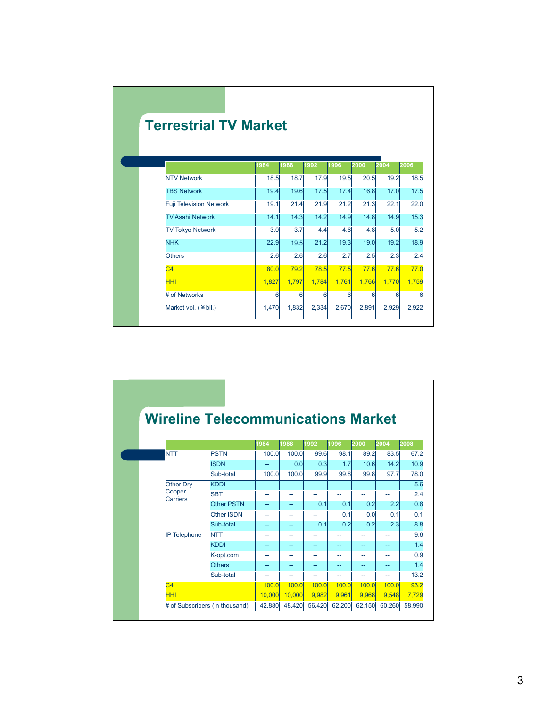| <b>Terrestrial TV Market</b>   |       |          |             |       |             |       |       |
|--------------------------------|-------|----------|-------------|-------|-------------|-------|-------|
|                                | 1984  | 1988     | 1992        | 1996  | 2000        | 2004  | 2006  |
| <b>NTV Network</b>             | 18.5  | 18.7     | 17.9        | 19.5  | 20.5        | 19.2  | 18.5  |
| <b>TBS Network</b>             | 19.4  | 19.6     | 17.5        | 17.4  | 16.8        | 17.0  | 17.5  |
| <b>Fuji Television Network</b> | 19.1  | 21.4     | 21.9        | 21.2  | 21.3        | 22.1  | 22.0  |
| <b>TV Asahi Network</b>        | 14.1  | 14.3     | 14.2        | 14.9  | 14.8        | 14.9  | 15.3  |
| <b>TV Tokyo Network</b>        | 3.0   | 3.7      | 4.4         | 4.6   | 4.8         | 5.0   | 5.2   |
| <b>NHK</b>                     | 22.9  | 19.5     | 21.2        | 19.3  | 19.0        | 19.2  | 18.9  |
| <b>Others</b>                  | 2.6   | 2.6      | 2.6         | 2.7   | 2.5         | 2.3   | 2.4   |
| C <sub>4</sub>                 | 80.0  | 79.2     | <b>78.5</b> | 77.5  | <b>77.6</b> | 77.6  | 77.0  |
| <b>HHI</b>                     | 1,827 | 1,797    | 1,784       | 1,761 | 1,766       | 1,770 | 1,759 |
| # of Networks                  | 6     | $6 \mid$ | 6           | 6     | 6           | 6     |       |
| Market vol. (¥bil.)            | 1,470 | 1,832    | 2,334       | 2,670 | 2,891       | 2,929 | 2,922 |

| <b>Wireline Telecommunications Market</b> |                                |        |        |                |              |        |        |        |
|-------------------------------------------|--------------------------------|--------|--------|----------------|--------------|--------|--------|--------|
|                                           |                                | 1984   | 1988   | 1992           | 1996         | 2000   | 2004   | 2008   |
| <b>NTT</b>                                | <b>PSTN</b>                    | 100.0  | 100.0  | 99.6           | 98.1         | 89.2   | 83.5   | 67.2   |
|                                           | <b>ISDN</b>                    |        | 0.0    | 0.3            | 1.7          | 10.6   | 14.2   | 10.9   |
|                                           | Sub-total                      | 100.0  | 100.0  | 99.9           | 99.8         | 99.8   | 97.7   | 78.0   |
| <b>Other Dry</b>                          | <b>KDDI</b>                    | $-$    | $-$    | --             | --           | --     | --     | 5.6    |
| Copper<br>Carriers                        | <b>SBT</b>                     | ۰-     |        | --             |              | --     | --     | 2.4    |
|                                           | <b>Other PSTN</b>              | --     | $-$    | 0.1            | 0.1          | 0.2    | 2.2    | 0.8    |
|                                           | Other ISDN                     | --     | --     | --             | 0.1          | 0.0    | 0.1    | 0.1    |
|                                           | Sub-total                      | --     | $-$    | 0.1            | 0.2          | 0.2    | 2.3    | 8.8    |
| <b>IP Telephone</b>                       | <b>NTT</b>                     | --     | $-$    | $\overline{a}$ | --           | --     | --     | 9.6    |
|                                           | <b>KDDI</b>                    | --     | --     | $\overline{a}$ | --           | --     | --     | 1.4    |
|                                           | K-opt.com                      | --     | --     | --             | --           | --     | --     | 0.9    |
|                                           | <b>Others</b>                  | --     |        | --             | --           | --     | --     | 1.4    |
|                                           | Sub-total                      | н.     |        | --             | --           | --     | --     | 13.2   |
| C <sub>4</sub>                            |                                | 100.0  | 100.0  | 100.0          | <b>100.0</b> | 100.0  | 100.0  | 93.2   |
| <b>HHI</b>                                |                                | 10.000 | 10,000 | 9.982          | 9,961        | 9,968  | 9,548  | 7,729  |
|                                           | # of Subscribers (in thousand) | 42,880 | 48,420 | 56,420         | 62.200       | 62,150 | 60.260 | 58,990 |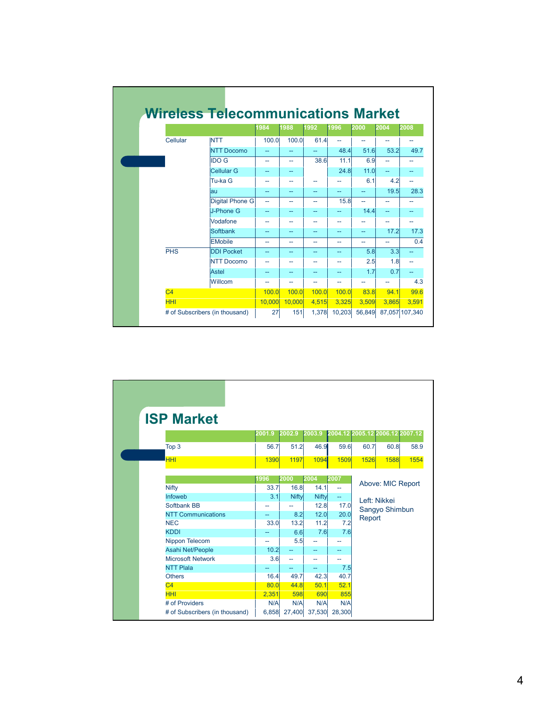|                |                                | 1984   | 1988   | 1992           | 1996         | 2000                     | 2004           | 2008           |
|----------------|--------------------------------|--------|--------|----------------|--------------|--------------------------|----------------|----------------|
| Cellular       | <b>NTT</b>                     | 100.0  | 100.0  | 61.4           | --           |                          | --             | --             |
|                | <b>NTT Docomo</b>              | --     | $-$    | $\overline{a}$ | 48.4         | 51.6                     | 53.2           | 49.7           |
|                | <b>IDO G</b>                   | --     | --     | 38.6           | 11.1         | 6.9                      | $\overline{a}$ | --             |
|                | <b>Cellular G</b>              | --     | --     |                | 24.8         | 11.0                     | --             | --             |
|                | Tu-ka G                        | --     | --     | --             |              | 6.1                      | 4.2            | --             |
|                | lau                            | --     | --     | --             | --           |                          | 19.5           | 28.3           |
|                | Digital Phone G                | --     | --     | --             | 15.8         | $\overline{\phantom{0}}$ | --             |                |
|                | J-Phone G                      | --     | --     | $-$            | --           | 14.4                     | --             | --             |
|                | Vodafone                       | --     | --     | --             | --           | --                       | --             | --             |
|                | Softbank                       | --     | $-$    | $-$            | $-$          | $-$                      | 17.2           | 17.3           |
|                | <b>EMobile</b>                 | --     | --     | --             | --           | --                       | --             | 0.4            |
| <b>PHS</b>     | <b>DDI Pocket</b>              | --     | --     | $\overline{a}$ | --           | 5.8                      | 3.3            | --             |
|                | <b>NTT Docomo</b>              | --     | н.     | --             | --           | 2.5                      | 1.8            | --             |
|                | Astel                          | --     | --     | --             | --           | 1.7                      | 0.7            | --             |
|                | Willcom                        | --     | --     | --             | ۰.           |                          |                | 4.3            |
| C <sub>4</sub> |                                | 100.0  | 100.0  | 100.0          | <b>100.0</b> | 83.8                     | 94.1           | 99.6           |
| <b>HHI</b>     |                                | 10,000 | 10,000 | 4,515          | 3,325        | 3.509                    | 3.865          | 3,591          |
|                | # of Subscribers (in thousand) | 27     | 151    | 1,378          | 10,203       | 56.849                   |                | 87,057 107,340 |

г

| <b>ISP Market</b>              |             |        |        |                |             |                                 |      |
|--------------------------------|-------------|--------|--------|----------------|-------------|---------------------------------|------|
|                                | 2001.9      | 2002.9 | 2003.9 |                |             | 2004.12 2005.12 2006.12 2007.12 |      |
| Top 3                          | 56.7        | 51.2   | 46.9   | 59.6           | 60.7        | 60.8                            | 58.9 |
| <b>HHI</b>                     | <b>1390</b> | 1197   | 1094   | <b>1509</b>    | <b>1526</b> | <b>1588</b>                     | 1554 |
|                                |             |        |        |                |             |                                 |      |
|                                | 1996        | 2000   | 2004   | 2007           |             | Above: MIC Report               |      |
| <b>Nifty</b>                   | 33.7        | 16.8   | 14.1   | $\overline{a}$ |             |                                 |      |
| <b>Infoweb</b>                 | 3.1         | Nifty  | Nifty  | u.             |             | Left: Nikkei                    |      |
| Softbank BB                    |             |        | 12.8   | 17.0           |             | Sangyo Shimbun                  |      |
| <b>NTT Communications</b>      | --          | 8.2    | 12.0   | 20.0           | Report      |                                 |      |
| <b>NEC</b>                     | 33.0        | 13.2   | 11.2   | 7.2            |             |                                 |      |
| <b>KDDI</b>                    |             | 6.6    | 7.6    | 7.6            |             |                                 |      |
| Nippon Telecom                 | --          | 5.5    | --     |                |             |                                 |      |
| Asahi Net/People               | 10.2        | --     | --     | --             |             |                                 |      |
| <b>Microsoft Network</b>       | 3.6         | -−     | --     | --             |             |                                 |      |
| <b>NTT Plala</b>               |             |        |        | 7.5            |             |                                 |      |
| <b>Others</b>                  | 16.4        | 49.7   | 42.3   | 40.7           |             |                                 |      |
| C <sub>4</sub>                 | 80.0        | 44.8   | 50.1   | 52.1           |             |                                 |      |
| <b>HHI</b>                     | 2,351       | 598    | 690    | 855            |             |                                 |      |
| # of Providers                 | N/A         | N/A    | N/A    | N/A            |             |                                 |      |
| # of Subscribers (in thousand) | 6,858       | 27,400 | 37,530 | 28,300         |             |                                 |      |